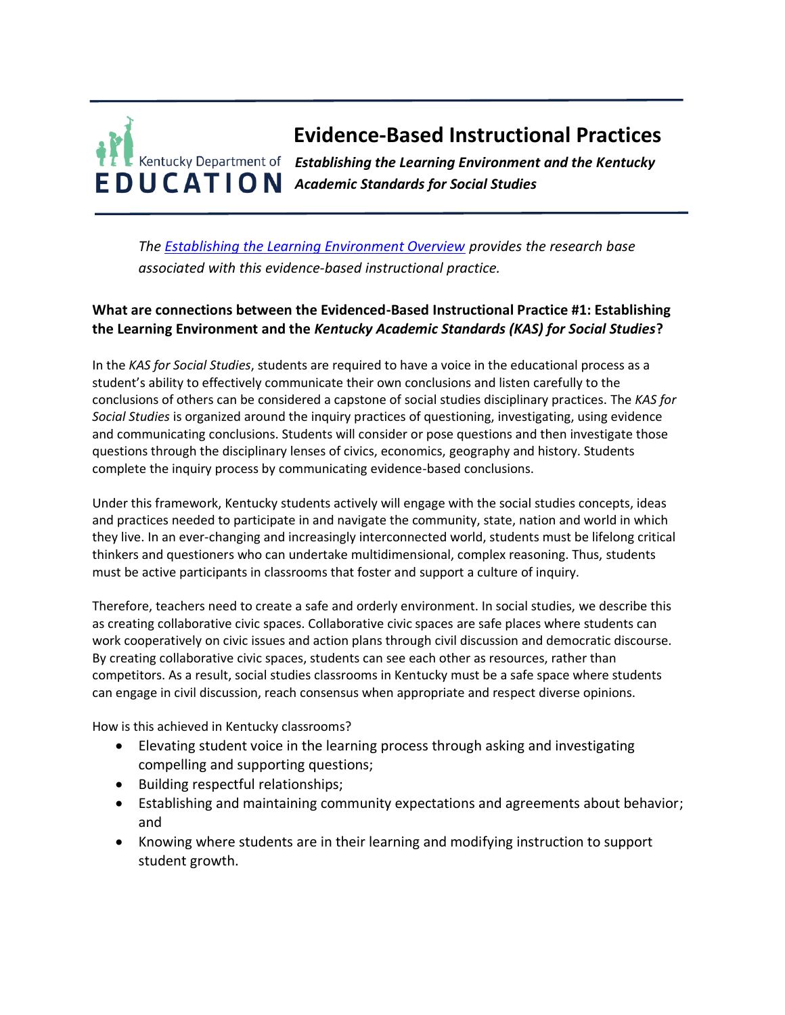# **Evidence-Based Instructional Practices** *Establishing the Learning Environment and the Kentucky Academic Standards for Social Studies*

*The [Establishing the Learning Environment Overview](https://education.ky.gov/curriculum/standards/kyacadstand/Documents/EBIP_1_Establishing_the_Learning_Environment.pdf) provides the research base associated with this evidence-based instructional practice.*

## **What are connections between the Evidenced-Based Instructional Practice #1: Establishing the Learning Environment and the** *Kentucky Academic Standards (KAS) for Social Studies***?**

In the *KAS for Social Studies*, students are required to have a voice in the educational process as a student's ability to effectively communicate their own conclusions and listen carefully to the conclusions of others can be considered a capstone of social studies disciplinary practices. The *KAS for Social Studies* is organized around the inquiry practices of questioning, investigating, using evidence and communicating conclusions. Students will consider or pose questions and then investigate those questions through the disciplinary lenses of civics, economics, geography and history. Students complete the inquiry process by communicating evidence-based conclusions.

Under this framework, Kentucky students actively will engage with the social studies concepts, ideas and practices needed to participate in and navigate the community, state, nation and world in which they live. In an ever-changing and increasingly interconnected world, students must be lifelong critical thinkers and questioners who can undertake multidimensional, complex reasoning. Thus, students must be active participants in classrooms that foster and support a culture of inquiry.

Therefore, teachers need to create a safe and orderly environment. In social studies, we describe this as creating collaborative civic spaces. Collaborative civic spaces are safe places where students can work cooperatively on civic issues and action plans through civil discussion and democratic discourse. By creating collaborative civic spaces, students can see each other as resources, rather than competitors. As a result, social studies classrooms in Kentucky must be a safe space where students can engage in civil discussion, reach consensus when appropriate and respect diverse opinions.

How is this achieved in Kentucky classrooms?

- Elevating student voice in the learning process through asking and investigating compelling and supporting questions;
- Building respectful relationships;
- Establishing and maintaining community expectations and agreements about behavior; and
- Knowing where students are in their learning and modifying instruction to support student growth.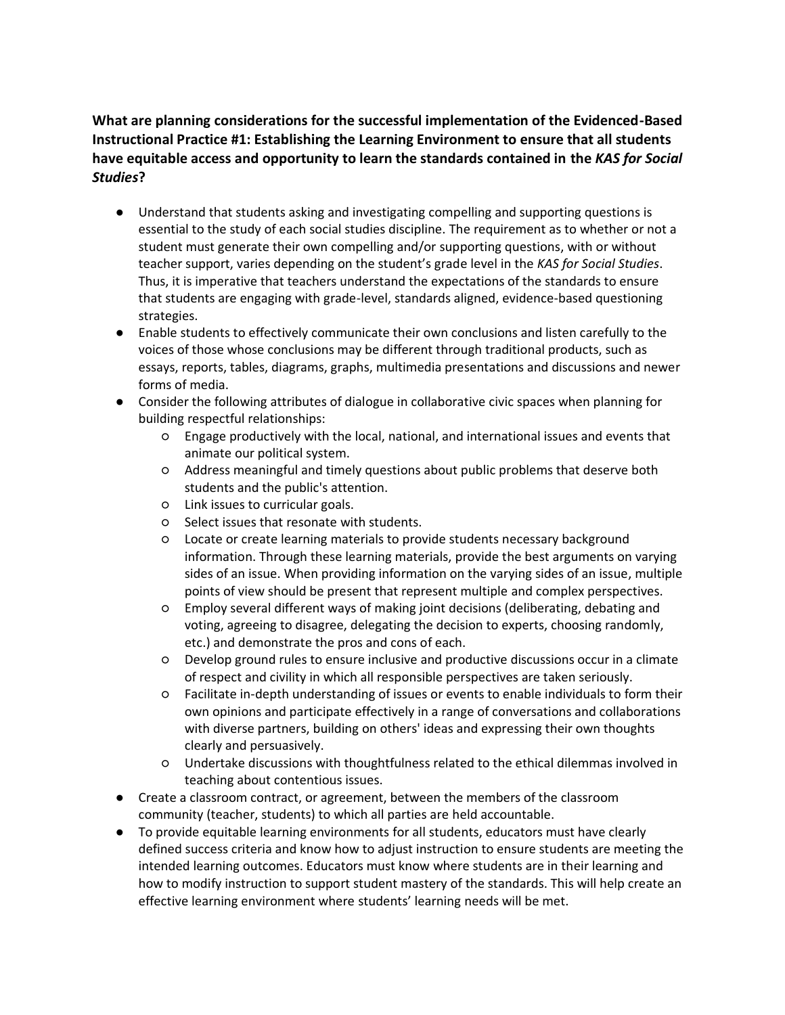## **What are planning considerations for the successful implementation of the Evidenced-Based Instructional Practice #1: Establishing the Learning Environment to ensure that all students have equitable access and opportunity to learn the standards contained in the** *KAS for Social Studies***?**

- Understand that students asking and investigating compelling and supporting questions is essential to the study of each social studies discipline. The requirement as to whether or not a student must generate their own compelling and/or supporting questions, with or without teacher support, varies depending on the student's grade level in the *KAS for Social Studies*. Thus, it is imperative that teachers understand the expectations of the standards to ensure that students are engaging with grade-level, standards aligned, evidence-based questioning strategies.
- Enable students to effectively communicate their own conclusions and listen carefully to the voices of those whose conclusions may be different through traditional products, such as essays, reports, tables, diagrams, graphs, multimedia presentations and discussions and newer forms of media.
- Consider the following attributes of dialogue in collaborative civic spaces when planning for building respectful relationships:
	- Engage productively with the local, national, and international issues and events that animate our political system.
	- Address meaningful and timely questions about public problems that deserve both students and the public's attention.
	- Link issues to curricular goals.
	- Select issues that resonate with students.
	- Locate or create learning materials to provide students necessary background information. Through these learning materials, provide the best arguments on varying sides of an issue. When providing information on the varying sides of an issue, multiple points of view should be present that represent multiple and complex perspectives.
	- Employ several different ways of making joint decisions (deliberating, debating and voting, agreeing to disagree, delegating the decision to experts, choosing randomly, etc.) and demonstrate the pros and cons of each.
	- Develop ground rules to ensure inclusive and productive discussions occur in a climate of respect and civility in which all responsible perspectives are taken seriously.
	- Facilitate in-depth understanding of issues or events to enable individuals to form their own opinions and participate effectively in a range of conversations and collaborations with diverse partners, building on others' ideas and expressing their own thoughts clearly and persuasively.
	- Undertake discussions with thoughtfulness related to the ethical dilemmas involved in teaching about contentious issues.
- Create a classroom contract, or agreement, between the members of the classroom community (teacher, students) to which all parties are held accountable.
- To provide equitable learning environments for all students, educators must have clearly defined success criteria and know how to adjust instruction to ensure students are meeting the intended learning outcomes. Educators must know where students are in their learning and how to modify instruction to support student mastery of the standards. This will help create an effective learning environment where students' learning needs will be met.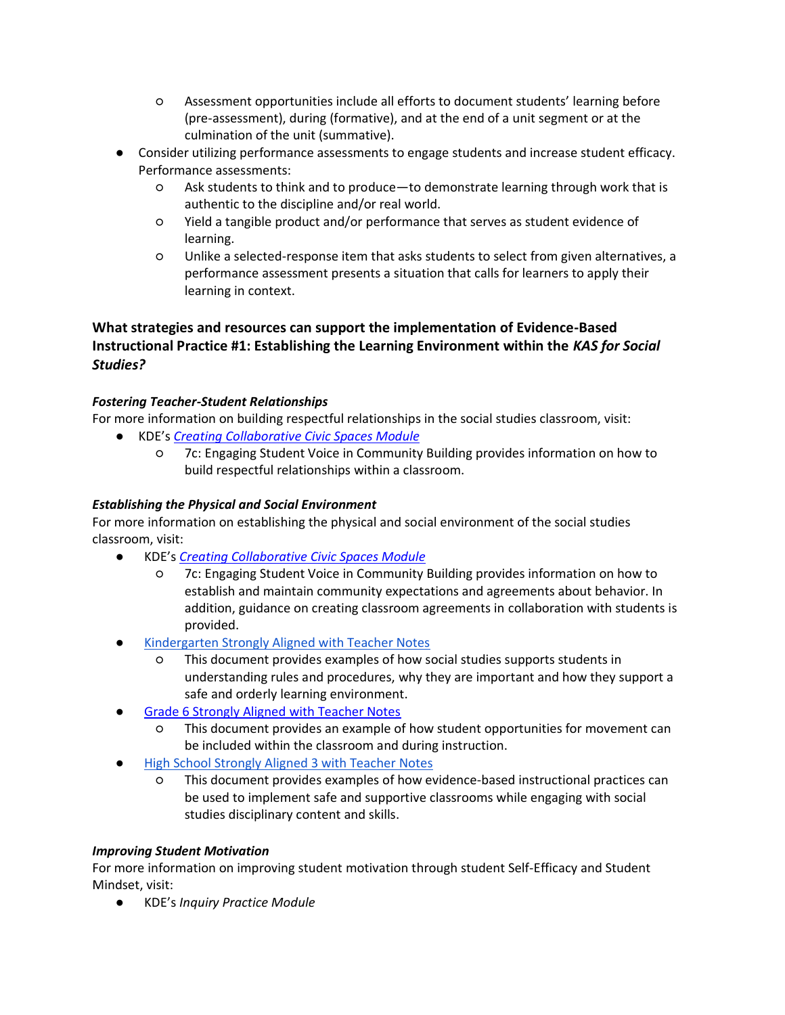- Assessment opportunities include all efforts to document students' learning before (pre-assessment), during (formative), and at the end of a unit segment or at the culmination of the unit (summative).
- Consider utilizing performance assessments to engage students and increase student efficacy. Performance assessments:
	- Ask students to think and to produce—to demonstrate learning through work that is authentic to the discipline and/or real world.
	- Yield a tangible product and/or performance that serves as student evidence of learning.
	- Unlike a selected-response item that asks students to select from given alternatives, a performance assessment presents a situation that calls for learners to apply their learning in context.

## **What strategies and resources can support the implementation of Evidence-Based Instructional Practice #1: Establishing the Learning Environment within the** *KAS for Social Studies?*

### *Fostering Teacher-Student Relationships*

For more information on building respectful relationships in the social studies classroom, visit:

- KDE's *[Creating Collaborative Civic Spaces Module](https://education.ky.gov/curriculum/standards/kyacadstand/Documents/Collaborative_Civic_Spaces_Facilitator_Guide.pdf)*
	- 7c: Engaging Student Voice in Community Building provides information on how to build respectful relationships within a classroom.

#### *Establishing the Physical and Social Environment*

For more information on establishing the physical and social environment of the social studies classroom, visit:

- KDE's *[Creating Collaborative Civic Spaces Module](https://education.ky.gov/curriculum/standards/kyacadstand/Documents/Collaborative_Civic_Spaces_Facilitator_Guide.pdf)*
	- 7c: Engaging Student Voice in Community Building provides information on how to establish and maintain community expectations and agreements about behavior. In addition, guidance on creating classroom agreements in collaboration with students is provided.
- [Kindergarten Strongly Aligned with Teacher Notes](https://education.ky.gov/curriculum/standards/kyacadstand/Documents/K_SS_Strongly_Aligned_Assignment_TN.docx)
	- This document provides examples of how social studies supports students in understanding rules and procedures, why they are important and how they support a safe and orderly learning environment.
- **Grade 6 [Strongly Aligned with Teacher Notes](https://education.ky.gov/curriculum/standards/kyacadstand/Documents/Grade_6_SS_Strongly_Aligned_Assignment_TN.docx)** 
	- This document provides an example of how student opportunities for movement can be included within the classroom and during instruction.
- [High School Strongly Aligned 3 with Teacher Notes](https://education.ky.gov/curriculum/standards/kyacadstand/Documents/HS_SS_Strongly_Aligned_Assignment_3_TN.docx)
	- This document provides examples of how evidence-based instructional practices can be used to implement safe and supportive classrooms while engaging with social studies disciplinary content and skills.

#### *Improving Student Motivation*

For more information on improving student motivation through student Self-Efficacy and Student Mindset, visit:

● KDE's *Inquiry Practice Module*